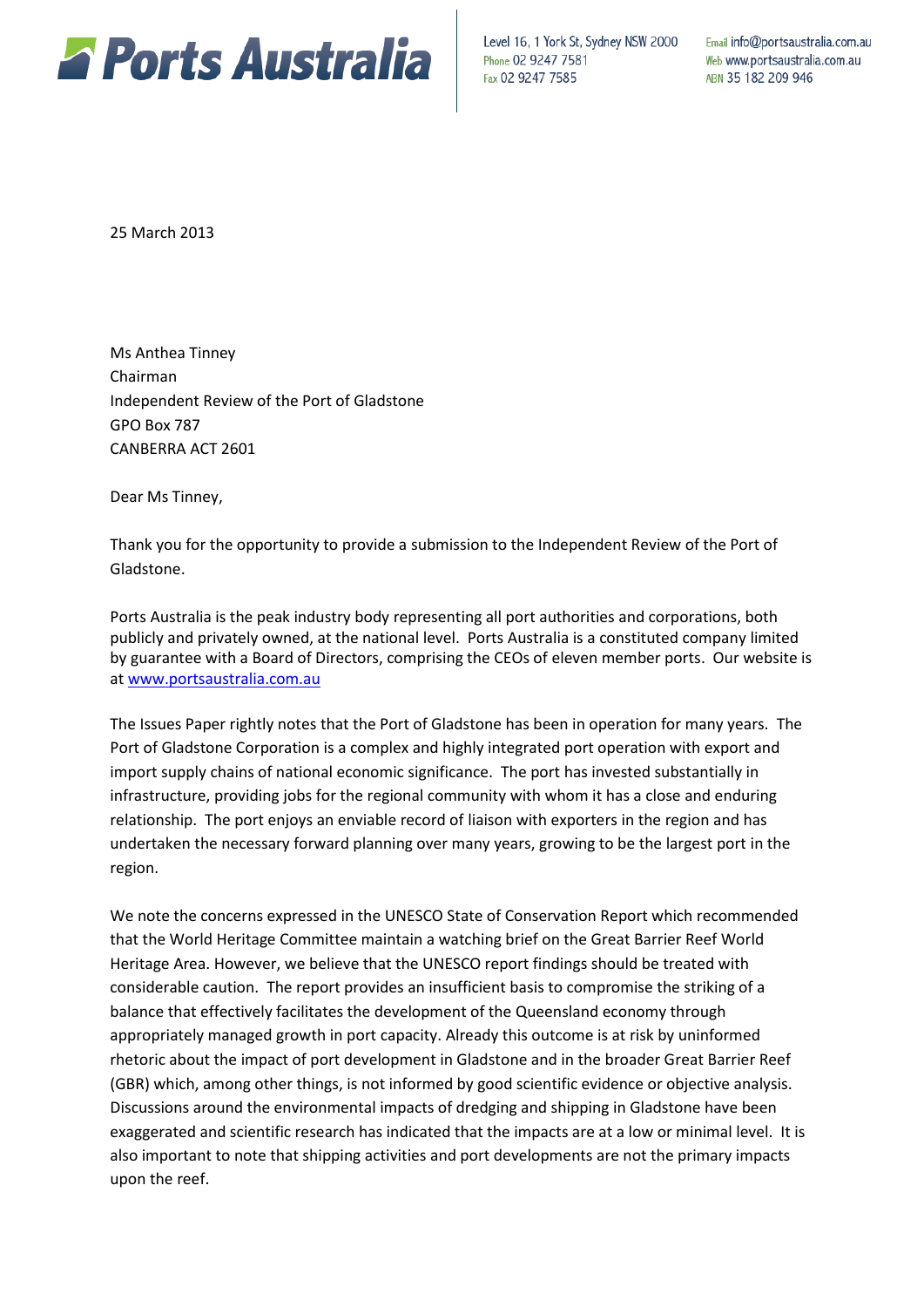

Level 16, 1 York St, Sydney NSW 2000 Phone 02 9247 7581 Fax 02 9247 7585

Email info@portsaustralia.com.au Web www.portsaustralia.com.au ABN 35 182 209 946

25 March 2013

Ms Anthea Tinney Chairman Independent Review of the Port of Gladstone GPO Box 787 CANBERRA ACT 2601

Dear Ms Tinney,

Thank you for the opportunity to provide a submission to the Independent Review of the Port of Gladstone.

Ports Australia is the peak industry body representing all port authorities and corporations, both publicly and privately owned, at the national level. Ports Australia is a constituted company limited by guarantee with a Board of Directors, comprising the CEOs of eleven member ports. Our website is at [www.portsaustralia.com.au](http://www.portsaustralia.com.au/) 

The Issues Paper rightly notes that the Port of Gladstone has been in operation for many years. The Port of Gladstone Corporation is a complex and highly integrated port operation with export and import supply chains of national economic significance. The port has invested substantially in infrastructure, providing jobs for the regional community with whom it has a close and enduring relationship. The port enjoys an enviable record of liaison with exporters in the region and has undertaken the necessary forward planning over many years, growing to be the largest port in the region.

We note the concerns expressed in the UNESCO State of Conservation Report which recommended that the World Heritage Committee maintain a watching brief on the Great Barrier Reef World Heritage Area. However, we believe that the UNESCO report findings should be treated with considerable caution. The report provides an insufficient basis to compromise the striking of a balance that effectively facilitates the development of the Queensland economy through appropriately managed growth in port capacity. Already this outcome is at risk by uninformed rhetoric about the impact of port development in Gladstone and in the broader Great Barrier Reef (GBR) which, among other things, is not informed by good scientific evidence or objective analysis. Discussions around the environmental impacts of dredging and shipping in Gladstone have been exaggerated and scientific research has indicated that the impacts are at a low or minimal level. It is also important to note that shipping activities and port developments are not the primary impacts upon the reef.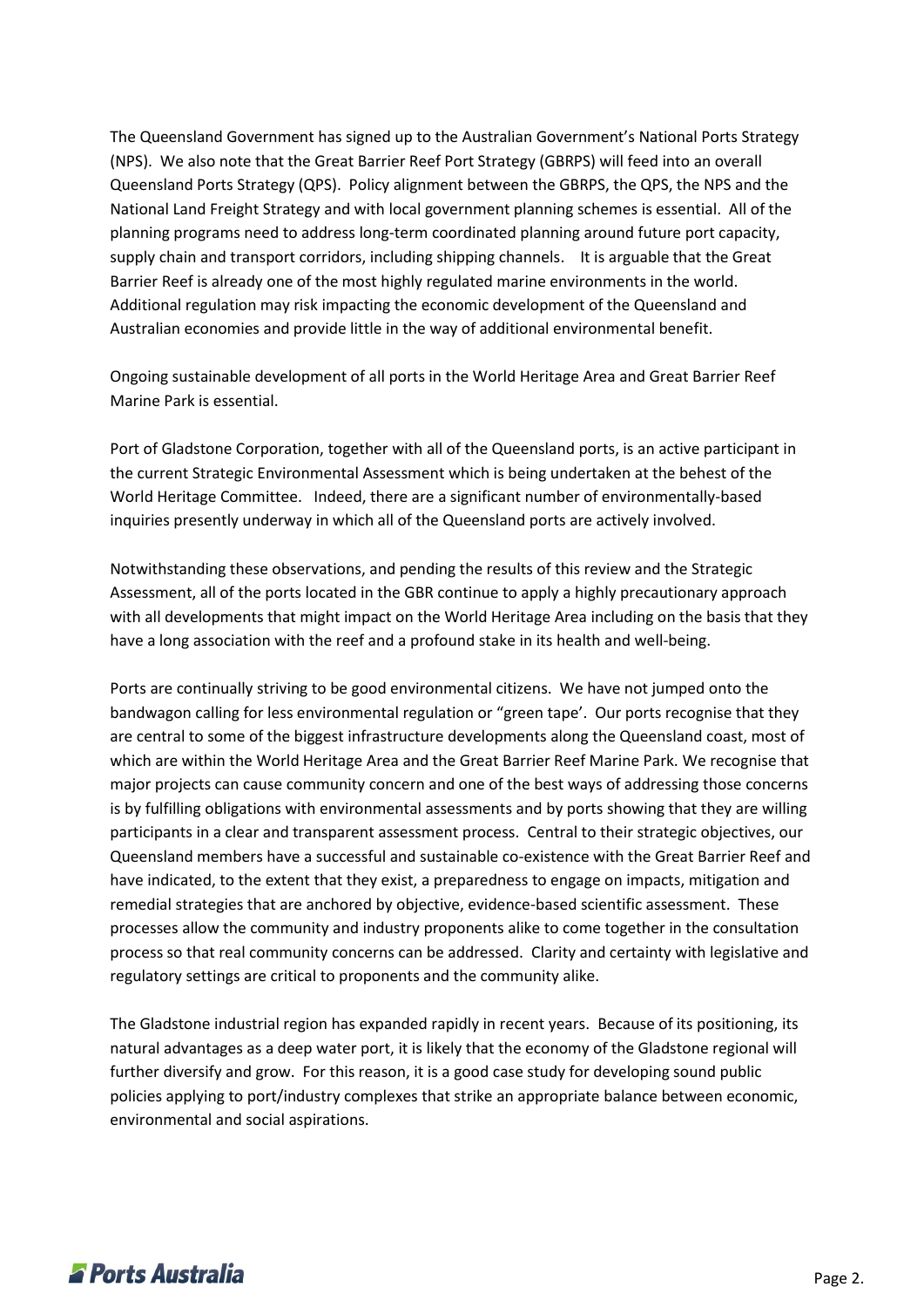The Queensland Government has signed up to the Australian Government's National Ports Strategy (NPS). We also note that the Great Barrier Reef Port Strategy (GBRPS) will feed into an overall Queensland Ports Strategy (QPS). Policy alignment between the GBRPS, the QPS, the NPS and the National Land Freight Strategy and with local government planning schemes is essential. All of the planning programs need to address long-term coordinated planning around future port capacity, supply chain and transport corridors, including shipping channels. It is arguable that the Great Barrier Reef is already one of the most highly regulated marine environments in the world. Additional regulation may risk impacting the economic development of the Queensland and Australian economies and provide little in the way of additional environmental benefit.

Ongoing sustainable development of all ports in the World Heritage Area and Great Barrier Reef Marine Park is essential.

Port of Gladstone Corporation, together with all of the Queensland ports, is an active participant in the current Strategic Environmental Assessment which is being undertaken at the behest of the World Heritage Committee. Indeed, there are a significant number of environmentally-based inquiries presently underway in which all of the Queensland ports are actively involved.

Notwithstanding these observations, and pending the results of this review and the Strategic Assessment, all of the ports located in the GBR continue to apply a highly precautionary approach with all developments that might impact on the World Heritage Area including on the basis that they have a long association with the reef and a profound stake in its health and well-being.

Ports are continually striving to be good environmental citizens. We have not jumped onto the bandwagon calling for less environmental regulation or "green tape'. Our ports recognise that they are central to some of the biggest infrastructure developments along the Queensland coast, most of which are within the World Heritage Area and the Great Barrier Reef Marine Park. We recognise that major projects can cause community concern and one of the best ways of addressing those concerns is by fulfilling obligations with environmental assessments and by ports showing that they are willing participants in a clear and transparent assessment process. Central to their strategic objectives, our Queensland members have a successful and sustainable co-existence with the Great Barrier Reef and have indicated, to the extent that they exist, a preparedness to engage on impacts, mitigation and remedial strategies that are anchored by objective, evidence-based scientific assessment. These processes allow the community and industry proponents alike to come together in the consultation process so that real community concerns can be addressed. Clarity and certainty with legislative and regulatory settings are critical to proponents and the community alike.

The Gladstone industrial region has expanded rapidly in recent years. Because of its positioning, its natural advantages as a deep water port, it is likely that the economy of the Gladstone regional will further diversify and grow. For this reason, it is a good case study for developing sound public policies applying to port/industry complexes that strike an appropriate balance between economic, environmental and social aspirations.

## **Z** Ports Australia